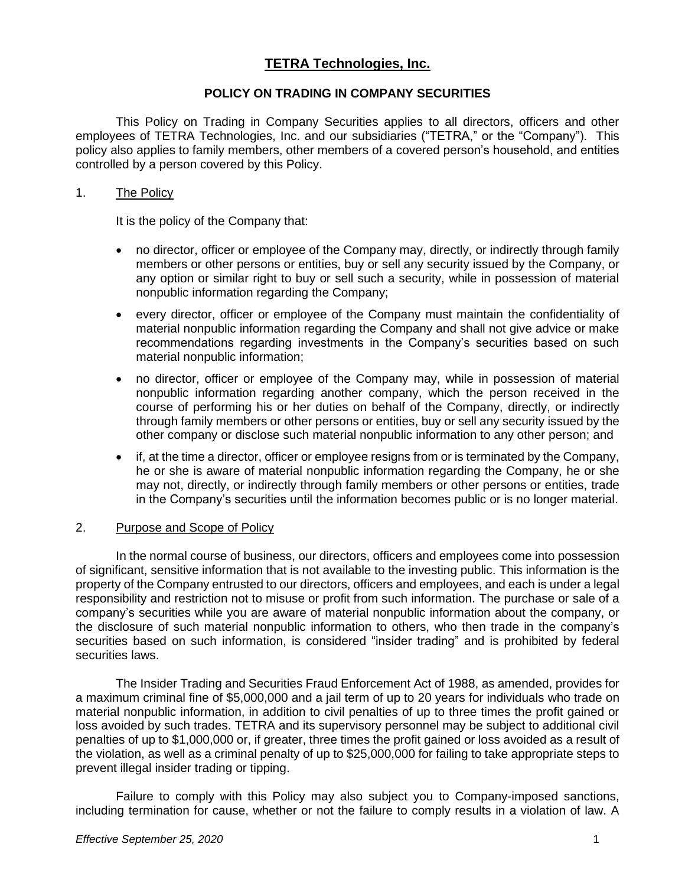# **TETRA Technologies, Inc.**

#### **POLICY ON TRADING IN COMPANY SECURITIES**

This Policy on Trading in Company Securities applies to all directors, officers and other employees of TETRA Technologies, Inc. and our subsidiaries ("TETRA," or the "Company"). This policy also applies to family members, other members of a covered person's household, and entities controlled by a person covered by this Policy.

#### 1. The Policy

It is the policy of the Company that:

- no director, officer or employee of the Company may, directly, or indirectly through family members or other persons or entities, buy or sell any security issued by the Company, or any option or similar right to buy or sell such a security, while in possession of material nonpublic information regarding the Company;
- every director, officer or employee of the Company must maintain the confidentiality of material nonpublic information regarding the Company and shall not give advice or make recommendations regarding investments in the Company's securities based on such material nonpublic information;
- no director, officer or employee of the Company may, while in possession of material nonpublic information regarding another company, which the person received in the course of performing his or her duties on behalf of the Company, directly, or indirectly through family members or other persons or entities, buy or sell any security issued by the other company or disclose such material nonpublic information to any other person; and
- if, at the time a director, officer or employee resigns from or is terminated by the Company, he or she is aware of material nonpublic information regarding the Company, he or she may not, directly, or indirectly through family members or other persons or entities, trade in the Company's securities until the information becomes public or is no longer material.

#### 2. Purpose and Scope of Policy

In the normal course of business, our directors, officers and employees come into possession of significant, sensitive information that is not available to the investing public. This information is the property of the Company entrusted to our directors, officers and employees, and each is under a legal responsibility and restriction not to misuse or profit from such information. The purchase or sale of a company's securities while you are aware of material nonpublic information about the company, or the disclosure of such material nonpublic information to others, who then trade in the company's securities based on such information, is considered "insider trading" and is prohibited by federal securities laws.

The Insider Trading and Securities Fraud Enforcement Act of 1988, as amended, provides for a maximum criminal fine of \$5,000,000 and a jail term of up to 20 years for individuals who trade on material nonpublic information, in addition to civil penalties of up to three times the profit gained or loss avoided by such trades. TETRA and its supervisory personnel may be subject to additional civil penalties of up to \$1,000,000 or, if greater, three times the profit gained or loss avoided as a result of the violation, as well as a criminal penalty of up to \$25,000,000 for failing to take appropriate steps to prevent illegal insider trading or tipping.

Failure to comply with this Policy may also subject you to Company-imposed sanctions, including termination for cause, whether or not the failure to comply results in a violation of law. A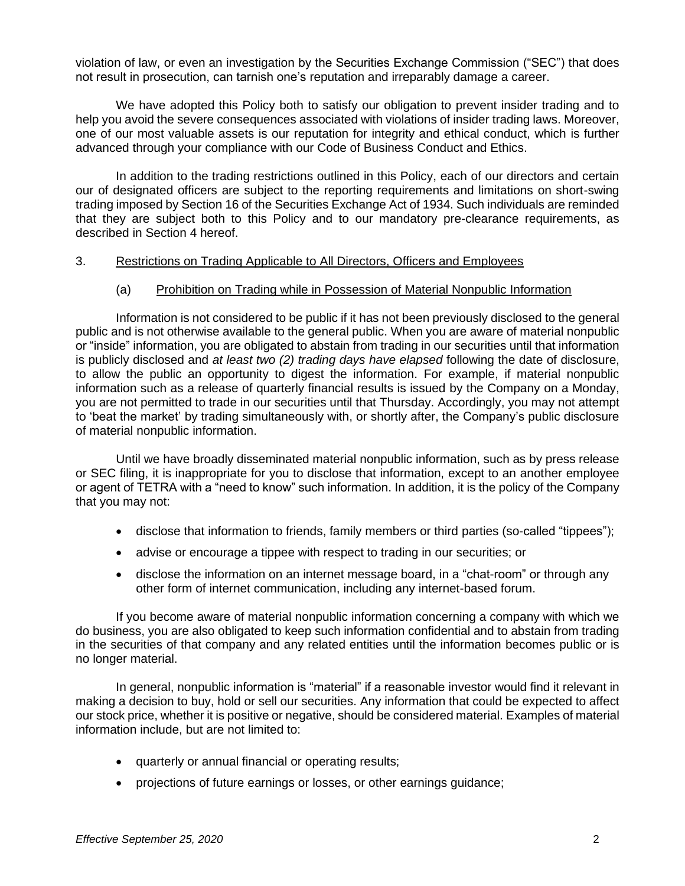violation of law, or even an investigation by the Securities Exchange Commission ("SEC") that does not result in prosecution, can tarnish one's reputation and irreparably damage a career.

We have adopted this Policy both to satisfy our obligation to prevent insider trading and to help you avoid the severe consequences associated with violations of insider trading laws. Moreover, one of our most valuable assets is our reputation for integrity and ethical conduct, which is further advanced through your compliance with our Code of Business Conduct and Ethics.

In addition to the trading restrictions outlined in this Policy, each of our directors and certain our of designated officers are subject to the reporting requirements and limitations on short-swing trading imposed by Section 16 of the Securities Exchange Act of 1934. Such individuals are reminded that they are subject both to this Policy and to our mandatory pre-clearance requirements, as described in Section 4 hereof.

#### 3. Restrictions on Trading Applicable to All Directors, Officers and Employees

#### (a) Prohibition on Trading while in Possession of Material Nonpublic Information

Information is not considered to be public if it has not been previously disclosed to the general public and is not otherwise available to the general public. When you are aware of material nonpublic or "inside" information, you are obligated to abstain from trading in our securities until that information is publicly disclosed and *at least two (2) trading days have elapsed* following the date of disclosure, to allow the public an opportunity to digest the information. For example, if material nonpublic information such as a release of quarterly financial results is issued by the Company on a Monday, you are not permitted to trade in our securities until that Thursday. Accordingly, you may not attempt to 'beat the market' by trading simultaneously with, or shortly after, the Company's public disclosure of material nonpublic information.

Until we have broadly disseminated material nonpublic information, such as by press release or SEC filing, it is inappropriate for you to disclose that information, except to an another employee or agent of TETRA with a "need to know" such information. In addition, it is the policy of the Company that you may not:

- disclose that information to friends, family members or third parties (so-called "tippees");
- advise or encourage a tippee with respect to trading in our securities; or
- disclose the information on an internet message board, in a "chat-room" or through any other form of internet communication, including any internet-based forum.

If you become aware of material nonpublic information concerning a company with which we do business, you are also obligated to keep such information confidential and to abstain from trading in the securities of that company and any related entities until the information becomes public or is no longer material.

In general, nonpublic information is "material" if a reasonable investor would find it relevant in making a decision to buy, hold or sell our securities. Any information that could be expected to affect our stock price, whether it is positive or negative, should be considered material. Examples of material information include, but are not limited to:

- quarterly or annual financial or operating results;
- projections of future earnings or losses, or other earnings guidance;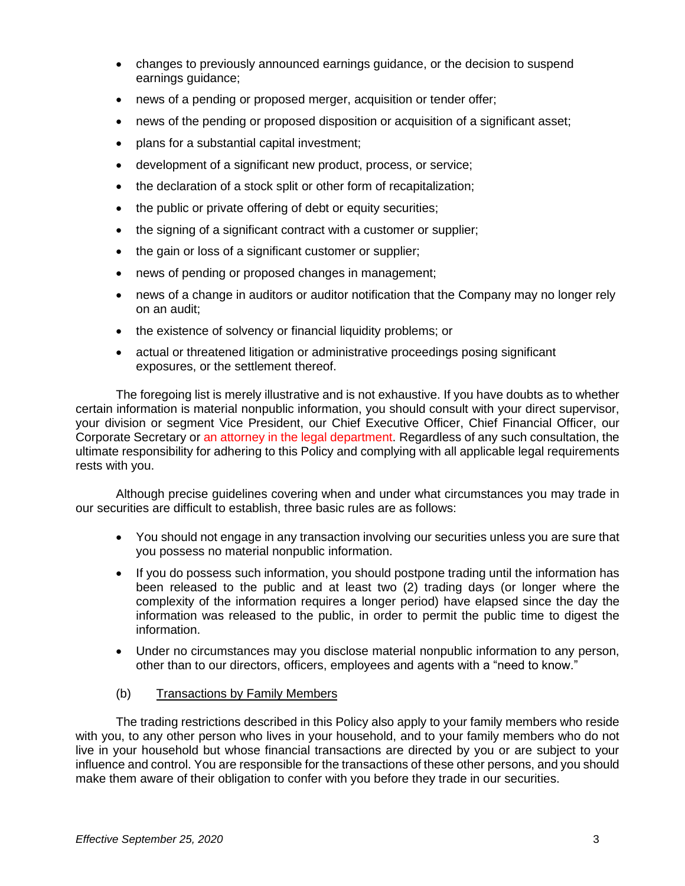- changes to previously announced earnings guidance, or the decision to suspend earnings guidance;
- news of a pending or proposed merger, acquisition or tender offer;
- news of the pending or proposed disposition or acquisition of a significant asset;
- plans for a substantial capital investment;
- development of a significant new product, process, or service;
- the declaration of a stock split or other form of recapitalization;
- the public or private offering of debt or equity securities;
- the signing of a significant contract with a customer or supplier;
- the gain or loss of a significant customer or supplier;
- news of pending or proposed changes in management;
- news of a change in auditors or auditor notification that the Company may no longer rely on an audit;
- the existence of solvency or financial liquidity problems; or
- actual or threatened litigation or administrative proceedings posing significant exposures, or the settlement thereof.

The foregoing list is merely illustrative and is not exhaustive. If you have doubts as to whether certain information is material nonpublic information, you should consult with your direct supervisor, your division or segment Vice President, our Chief Executive Officer, Chief Financial Officer, our Corporate Secretary or an attorney in the legal department. Regardless of any such consultation, the ultimate responsibility for adhering to this Policy and complying with all applicable legal requirements rests with you.

Although precise guidelines covering when and under what circumstances you may trade in our securities are difficult to establish, three basic rules are as follows:

- You should not engage in any transaction involving our securities unless you are sure that you possess no material nonpublic information.
- If you do possess such information, you should postpone trading until the information has been released to the public and at least two (2) trading days (or longer where the complexity of the information requires a longer period) have elapsed since the day the information was released to the public, in order to permit the public time to digest the information.
- Under no circumstances may you disclose material nonpublic information to any person, other than to our directors, officers, employees and agents with a "need to know."
- (b) Transactions by Family Members

The trading restrictions described in this Policy also apply to your family members who reside with you, to any other person who lives in your household, and to your family members who do not live in your household but whose financial transactions are directed by you or are subject to your influence and control. You are responsible for the transactions of these other persons, and you should make them aware of their obligation to confer with you before they trade in our securities.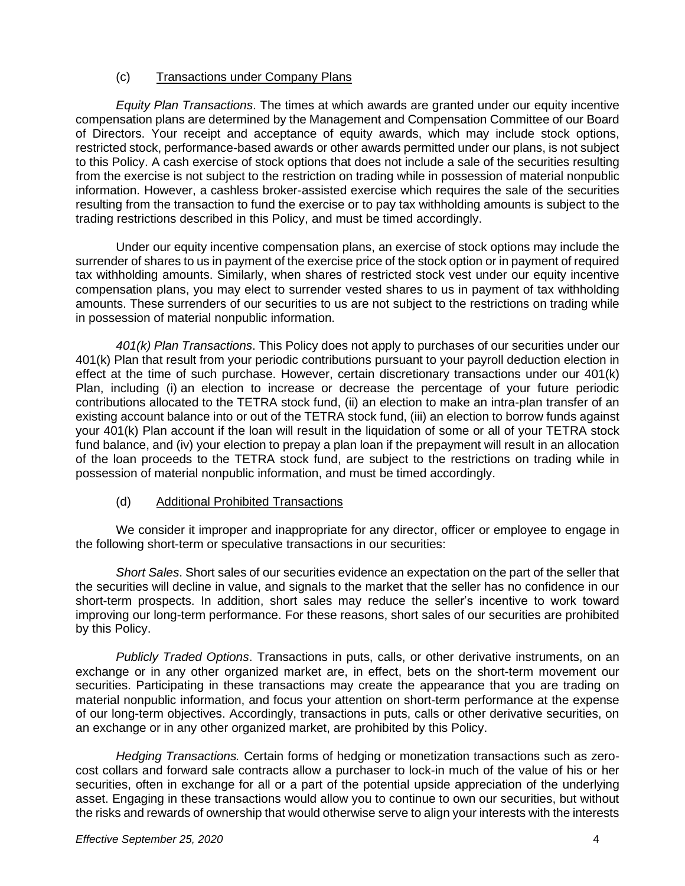## (c) Transactions under Company Plans

*Equity Plan Transactions*. The times at which awards are granted under our equity incentive compensation plans are determined by the Management and Compensation Committee of our Board of Directors. Your receipt and acceptance of equity awards, which may include stock options, restricted stock, performance-based awards or other awards permitted under our plans, is not subject to this Policy. A cash exercise of stock options that does not include a sale of the securities resulting from the exercise is not subject to the restriction on trading while in possession of material nonpublic information. However, a cashless broker-assisted exercise which requires the sale of the securities resulting from the transaction to fund the exercise or to pay tax withholding amounts is subject to the trading restrictions described in this Policy, and must be timed accordingly.

Under our equity incentive compensation plans, an exercise of stock options may include the surrender of shares to us in payment of the exercise price of the stock option or in payment of required tax withholding amounts. Similarly, when shares of restricted stock vest under our equity incentive compensation plans, you may elect to surrender vested shares to us in payment of tax withholding amounts. These surrenders of our securities to us are not subject to the restrictions on trading while in possession of material nonpublic information.

*401(k) Plan Transactions*. This Policy does not apply to purchases of our securities under our 401(k) Plan that result from your periodic contributions pursuant to your payroll deduction election in effect at the time of such purchase. However, certain discretionary transactions under our 401(k) Plan, including (i) an election to increase or decrease the percentage of your future periodic contributions allocated to the TETRA stock fund, (ii) an election to make an intra-plan transfer of an existing account balance into or out of the TETRA stock fund, (iii) an election to borrow funds against your 401(k) Plan account if the loan will result in the liquidation of some or all of your TETRA stock fund balance, and (iv) your election to prepay a plan loan if the prepayment will result in an allocation of the loan proceeds to the TETRA stock fund, are subject to the restrictions on trading while in possession of material nonpublic information, and must be timed accordingly.

## (d) Additional Prohibited Transactions

We consider it improper and inappropriate for any director, officer or employee to engage in the following short-term or speculative transactions in our securities:

*Short Sales*. Short sales of our securities evidence an expectation on the part of the seller that the securities will decline in value, and signals to the market that the seller has no confidence in our short-term prospects. In addition, short sales may reduce the seller's incentive to work toward improving our long-term performance. For these reasons, short sales of our securities are prohibited by this Policy.

*Publicly Traded Options*. Transactions in puts, calls, or other derivative instruments, on an exchange or in any other organized market are, in effect, bets on the short-term movement our securities. Participating in these transactions may create the appearance that you are trading on material nonpublic information, and focus your attention on short-term performance at the expense of our long-term objectives. Accordingly, transactions in puts, calls or other derivative securities, on an exchange or in any other organized market, are prohibited by this Policy.

*Hedging Transactions.* Certain forms of hedging or monetization transactions such as zerocost collars and forward sale contracts allow a purchaser to lock-in much of the value of his or her securities, often in exchange for all or a part of the potential upside appreciation of the underlying asset. Engaging in these transactions would allow you to continue to own our securities, but without the risks and rewards of ownership that would otherwise serve to align your interests with the interests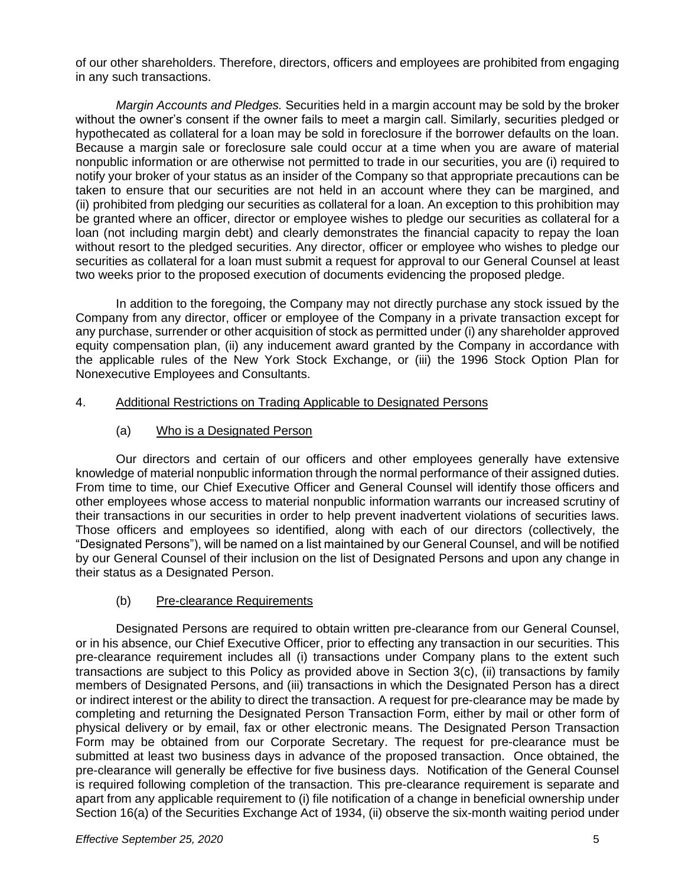of our other shareholders. Therefore, directors, officers and employees are prohibited from engaging in any such transactions.

*Margin Accounts and Pledges.* Securities held in a margin account may be sold by the broker without the owner's consent if the owner fails to meet a margin call. Similarly, securities pledged or hypothecated as collateral for a loan may be sold in foreclosure if the borrower defaults on the loan. Because a margin sale or foreclosure sale could occur at a time when you are aware of material nonpublic information or are otherwise not permitted to trade in our securities, you are (i) required to notify your broker of your status as an insider of the Company so that appropriate precautions can be taken to ensure that our securities are not held in an account where they can be margined, and (ii) prohibited from pledging our securities as collateral for a loan. An exception to this prohibition may be granted where an officer, director or employee wishes to pledge our securities as collateral for a loan (not including margin debt) and clearly demonstrates the financial capacity to repay the loan without resort to the pledged securities. Any director, officer or employee who wishes to pledge our securities as collateral for a loan must submit a request for approval to our General Counsel at least two weeks prior to the proposed execution of documents evidencing the proposed pledge.

In addition to the foregoing, the Company may not directly purchase any stock issued by the Company from any director, officer or employee of the Company in a private transaction except for any purchase, surrender or other acquisition of stock as permitted under (i) any shareholder approved equity compensation plan, (ii) any inducement award granted by the Company in accordance with the applicable rules of the New York Stock Exchange, or (iii) the 1996 Stock Option Plan for Nonexecutive Employees and Consultants.

## 4. Additional Restrictions on Trading Applicable to Designated Persons

(a) Who is a Designated Person

Our directors and certain of our officers and other employees generally have extensive knowledge of material nonpublic information through the normal performance of their assigned duties. From time to time, our Chief Executive Officer and General Counsel will identify those officers and other employees whose access to material nonpublic information warrants our increased scrutiny of their transactions in our securities in order to help prevent inadvertent violations of securities laws. Those officers and employees so identified, along with each of our directors (collectively, the "Designated Persons"), will be named on a list maintained by our General Counsel, and will be notified by our General Counsel of their inclusion on the list of Designated Persons and upon any change in their status as a Designated Person.

# (b) Pre-clearance Requirements

Designated Persons are required to obtain written pre-clearance from our General Counsel, or in his absence, our Chief Executive Officer, prior to effecting any transaction in our securities. This pre-clearance requirement includes all (i) transactions under Company plans to the extent such transactions are subject to this Policy as provided above in Section 3(c), (ii) transactions by family members of Designated Persons, and (iii) transactions in which the Designated Person has a direct or indirect interest or the ability to direct the transaction. A request for pre-clearance may be made by completing and returning the Designated Person Transaction Form, either by mail or other form of physical delivery or by email, fax or other electronic means. The Designated Person Transaction Form may be obtained from our Corporate Secretary. The request for pre-clearance must be submitted at least two business days in advance of the proposed transaction. Once obtained, the pre-clearance will generally be effective for five business days. Notification of the General Counsel is required following completion of the transaction. This pre-clearance requirement is separate and apart from any applicable requirement to (i) file notification of a change in beneficial ownership under Section 16(a) of the Securities Exchange Act of 1934, (ii) observe the six-month waiting period under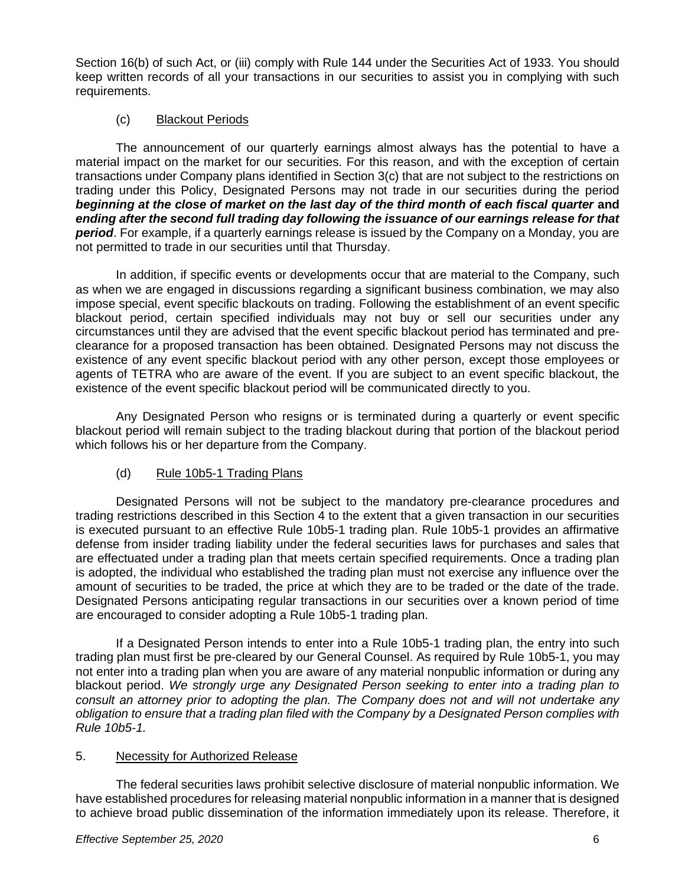Section 16(b) of such Act, or (iii) comply with Rule 144 under the Securities Act of 1933. You should keep written records of all your transactions in our securities to assist you in complying with such requirements.

# (c) Blackout Periods

The announcement of our quarterly earnings almost always has the potential to have a material impact on the market for our securities. For this reason, and with the exception of certain transactions under Company plans identified in Section 3(c) that are not subject to the restrictions on trading under this Policy, Designated Persons may not trade in our securities during the period *beginning at the close of market on the last day of the third month of each fiscal quarter* **and**  *ending after the second full trading day following the issuance of our earnings release for that period*. For example, if a quarterly earnings release is issued by the Company on a Monday, you are not permitted to trade in our securities until that Thursday.

In addition, if specific events or developments occur that are material to the Company, such as when we are engaged in discussions regarding a significant business combination, we may also impose special, event specific blackouts on trading. Following the establishment of an event specific blackout period, certain specified individuals may not buy or sell our securities under any circumstances until they are advised that the event specific blackout period has terminated and preclearance for a proposed transaction has been obtained. Designated Persons may not discuss the existence of any event specific blackout period with any other person, except those employees or agents of TETRA who are aware of the event. If you are subject to an event specific blackout, the existence of the event specific blackout period will be communicated directly to you.

Any Designated Person who resigns or is terminated during a quarterly or event specific blackout period will remain subject to the trading blackout during that portion of the blackout period which follows his or her departure from the Company.

## (d) Rule 10b5-1 Trading Plans

Designated Persons will not be subject to the mandatory pre-clearance procedures and trading restrictions described in this Section 4 to the extent that a given transaction in our securities is executed pursuant to an effective Rule 10b5-1 trading plan. Rule 10b5-1 provides an affirmative defense from insider trading liability under the federal securities laws for purchases and sales that are effectuated under a trading plan that meets certain specified requirements. Once a trading plan is adopted, the individual who established the trading plan must not exercise any influence over the amount of securities to be traded, the price at which they are to be traded or the date of the trade. Designated Persons anticipating regular transactions in our securities over a known period of time are encouraged to consider adopting a Rule 10b5-1 trading plan.

If a Designated Person intends to enter into a Rule 10b5-1 trading plan, the entry into such trading plan must first be pre-cleared by our General Counsel. As required by Rule 10b5-1, you may not enter into a trading plan when you are aware of any material nonpublic information or during any blackout period. *We strongly urge any Designated Person seeking to enter into a trading plan to consult an attorney prior to adopting the plan. The Company does not and will not undertake any obligation to ensure that a trading plan filed with the Company by a Designated Person complies with Rule 10b5-1.*

## 5. Necessity for Authorized Release

The federal securities laws prohibit selective disclosure of material nonpublic information. We have established procedures for releasing material nonpublic information in a manner that is designed to achieve broad public dissemination of the information immediately upon its release. Therefore, it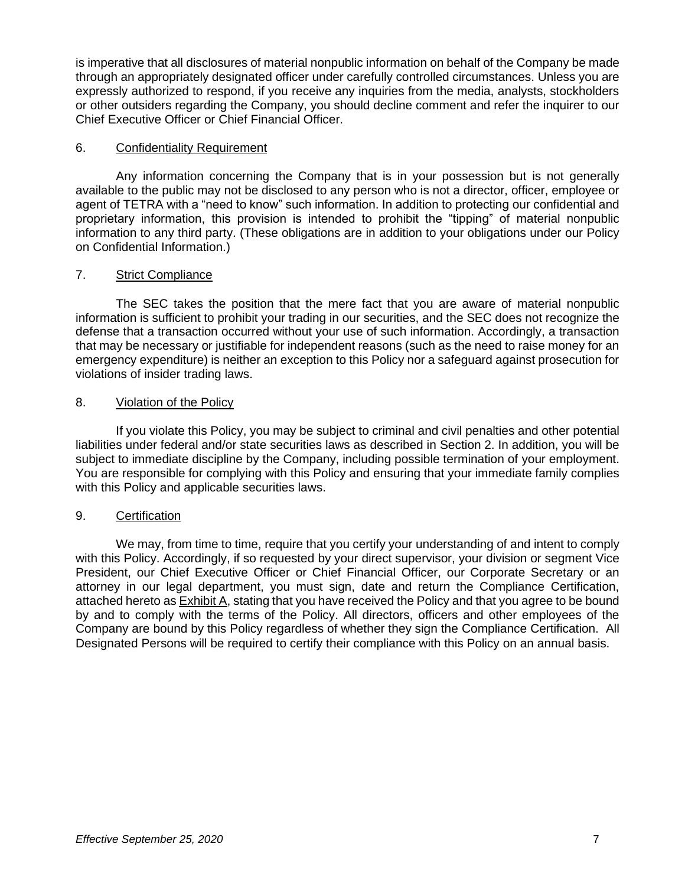is imperative that all disclosures of material nonpublic information on behalf of the Company be made through an appropriately designated officer under carefully controlled circumstances. Unless you are expressly authorized to respond, if you receive any inquiries from the media, analysts, stockholders or other outsiders regarding the Company, you should decline comment and refer the inquirer to our Chief Executive Officer or Chief Financial Officer.

## 6. Confidentiality Requirement

Any information concerning the Company that is in your possession but is not generally available to the public may not be disclosed to any person who is not a director, officer, employee or agent of TETRA with a "need to know" such information. In addition to protecting our confidential and proprietary information, this provision is intended to prohibit the "tipping" of material nonpublic information to any third party. (These obligations are in addition to your obligations under our Policy on Confidential Information.)

# 7. Strict Compliance

The SEC takes the position that the mere fact that you are aware of material nonpublic information is sufficient to prohibit your trading in our securities, and the SEC does not recognize the defense that a transaction occurred without your use of such information. Accordingly, a transaction that may be necessary or justifiable for independent reasons (such as the need to raise money for an emergency expenditure) is neither an exception to this Policy nor a safeguard against prosecution for violations of insider trading laws.

# 8. Violation of the Policy

If you violate this Policy, you may be subject to criminal and civil penalties and other potential liabilities under federal and/or state securities laws as described in Section 2. In addition, you will be subject to immediate discipline by the Company, including possible termination of your employment. You are responsible for complying with this Policy and ensuring that your immediate family complies with this Policy and applicable securities laws.

## 9. Certification

We may, from time to time, require that you certify your understanding of and intent to comply with this Policy. Accordingly, if so requested by your direct supervisor, your division or segment Vice President, our Chief Executive Officer or Chief Financial Officer, our Corporate Secretary or an attorney in our legal department, you must sign, date and return the Compliance Certification, attached hereto as Exhibit A, stating that you have received the Policy and that you agree to be bound by and to comply with the terms of the Policy. All directors, officers and other employees of the Company are bound by this Policy regardless of whether they sign the Compliance Certification. All Designated Persons will be required to certify their compliance with this Policy on an annual basis.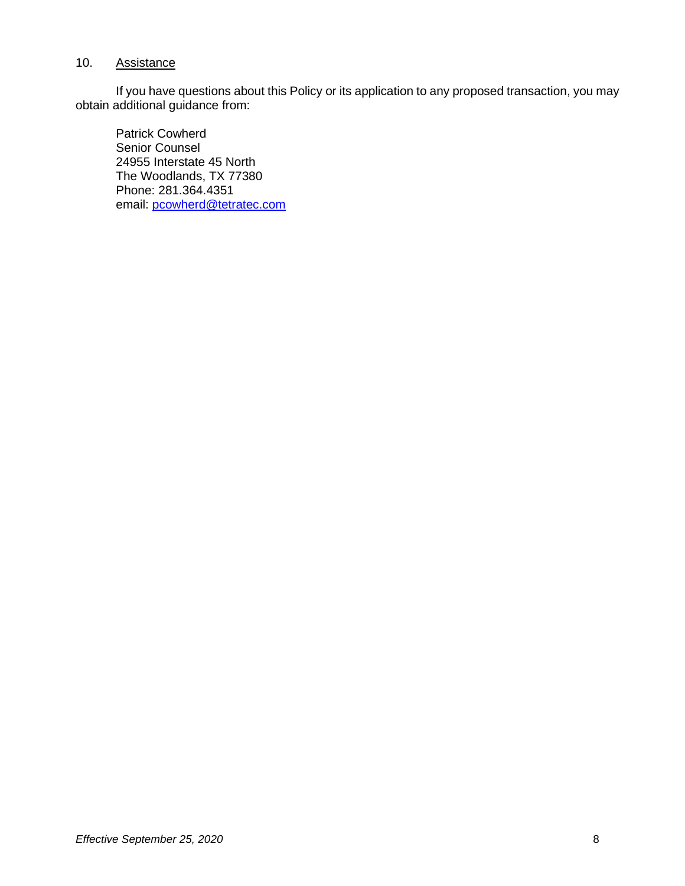#### 10. Assistance

If you have questions about this Policy or its application to any proposed transaction, you may obtain additional guidance from:

Patrick Cowherd Senior Counsel 24955 Interstate 45 North The Woodlands, TX 77380 Phone: 281.364.4351 email: pcowherd@tetratec.com